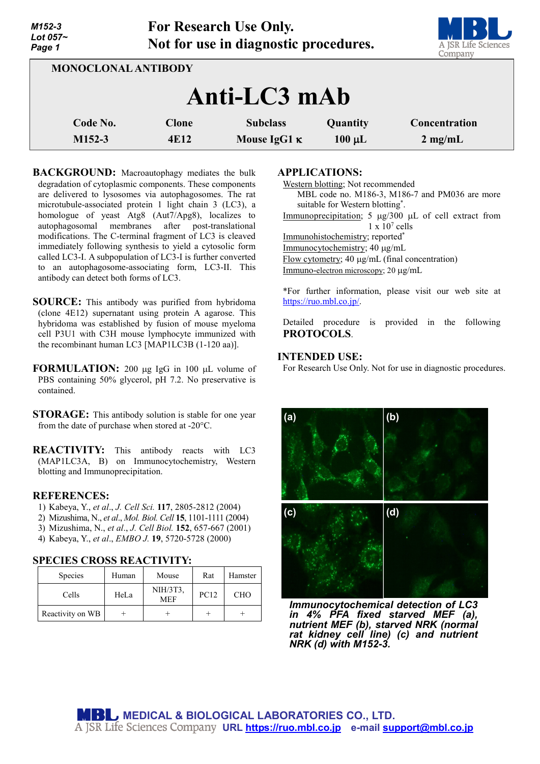| M152-3<br>Lot $057-$<br>Page 1 | For Research Use Only.<br>Not for use in diagnostic procedures. | A JSR Life Sciences<br>Company |             |                   |  |  |  |  |
|--------------------------------|-----------------------------------------------------------------|--------------------------------|-------------|-------------------|--|--|--|--|
| <b>MONOCLONAL ANTIBODY</b>     |                                                                 |                                |             |                   |  |  |  |  |
| Anti-LC3 mAb                   |                                                                 |                                |             |                   |  |  |  |  |
| Code No.                       | <b>Clone</b>                                                    | <b>Subclass</b>                | Quantity    | Concentration     |  |  |  |  |
| $M152-3$                       | 4E12                                                            | Mouse IgG1 $\kappa$            | $100 \mu L$ | $2 \text{ mg/mL}$ |  |  |  |  |

**BACKGROUND:** Macroautophagy mediates the bulk degradation of cytoplasmic components. These components are delivered to lysosomes via autophagosomes. The rat microtubule-associated protein 1 light chain 3 (LC3), a homologue of yeast Atg8 (Aut7/Apg8), localizes to autophagosomal membranes after post-translational modifications. The C-terminal fragment of LC3 is cleaved immediately following synthesis to yield a cytosolic form called LC3-I. A subpopulation of LC3-I is further converted to an autophagosome-associating form, LC3-II. This antibody can detect both forms of LC3.

- **SOURCE:** This antibody was purified from hybridoma (clone 4E12) supernatant using protein A agarose. This hybridoma was established by fusion of mouse myeloma cell P3U1 with C3H mouse lymphocyte immunized with the recombinant human LC3 [MAP1LC3B (1-120 aa)].
- **FORMULATION:** 200 µg IgG in 100 µL volume of PBS containing 50% glycerol, pH 7.2. No preservative is contained.
- **STORAGE:** This antibody solution is stable for one year from the date of purchase when stored at -20°C.
- **REACTIVITY:** This antibody reacts with LC3 (MAP1LC3A, B) on Immunocytochemistry, Western blotting and Immunoprecipitation.

### **REFERENCES:**

- 1) Kabeya, Y., *et al*., *J. Cell Sci.* **117**, 2805-2812 (2004)
- 2) Mizushima, N., *et al*., *Mol. Biol. Cell* **15**, 1101-1111 (2004)
- 3) Mizushima, N., *et al*., *J. Cell Biol.* **152**, 657-667 (2001)
- 4) Kabeya, Y., *et al*., *EMBO J.* **19**, 5720-5728 (2000)

# **SPECIES CROSS REACTIVITY:**

| Species          | Human | Mouse                  | Rat         | Hamster    |
|------------------|-------|------------------------|-------------|------------|
| Cells            | HeLa  | NIH/3T3,<br><b>MEF</b> | <b>PC12</b> | <b>CHO</b> |
| Reactivity on WB |       |                        |             |            |

### **APPLICATIONS:**

Western blotting; Not recommended MBL code no. M186-3, M186-7 and PM036 are more suitable for Western blotting\* . Immunoprecipitation; 5 µg/300 µL of cell extract from  $1 \times 10^7$  cells

**TAN** 

Immunohistochemistry; reported\*

Immunocytochemistry; 40 µg/mL

Flow cytometry; 40 µg/mL (final concentration)

Immuno-electron microscopy; 20 µg/mL

\*For further information, please visit our web site at [https://ruo.mbl.co.jp/.](https://ruo.mbl.co.jp/)

Detailed procedure is provided in the following **PROTOCOLS**.

# **INTENDED USE:**

For Research Use Only. Not for use in diagnostic procedures.



*Immunocytochemical detection of LC3 in 4% PFA fixed starved MEF (a), nutrient MEF (b), starved NRK (normal rat kidney cell line) (c) and nutrient NRK (d) with M152-3.*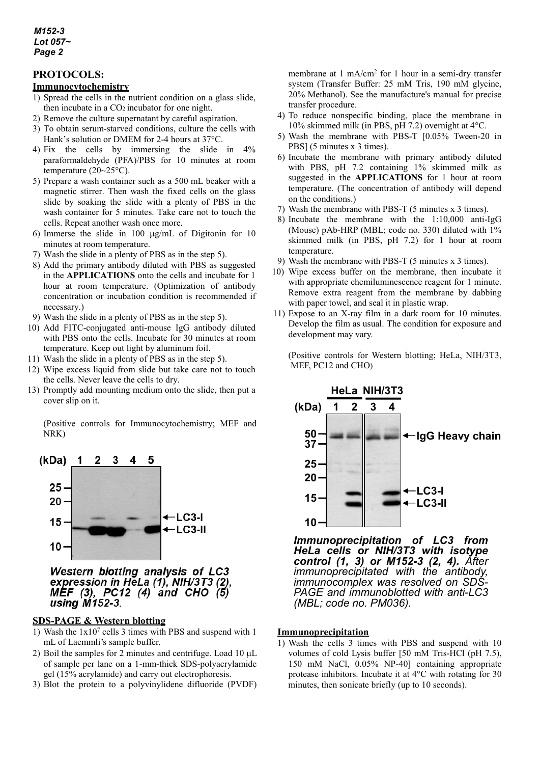### *M152-3 Lot 057~ Page 2*

# **PROTOCOLS:**

### **Immunocytochemistry**

- 1) Spread the cells in the nutrient condition on a glass slide, then incubate in a CO2 incubator for one night.
- 2) Remove the culture supernatant by careful aspiration.
- 3) To obtain serum-starved conditions, culture the cells with Hank's solution or DMEM for 2-4 hours at 37°C.
- 4) Fix the cells by immersing the slide in 4% paraformaldehyde (PFA)/PBS for 10 minutes at room temperature  $(20~25°C)$ .
- 5) Prepare a wash container such as a 500 mL beaker with a magnetic stirrer. Then wash the fixed cells on the glass slide by soaking the slide with a plenty of PBS in the wash container for 5 minutes. Take care not to touch the cells. Repeat another wash once more.
- 6) Immerse the slide in 100 µg/mL of Digitonin for 10 minutes at room temperature.
- 7) Wash the slide in a plenty of PBS as in the step 5).
- 8) Add the primary antibody diluted with PBS as suggested in the **APPLICATIONS** onto the cells and incubate for 1 hour at room temperature. (Optimization of antibody concentration or incubation condition is recommended if necessary.)
- 9) Wash the slide in a plenty of PBS as in the step 5).
- 10) Add FITC-conjugated anti-mouse IgG antibody diluted with PBS onto the cells. Incubate for 30 minutes at room temperature. Keep out light by aluminum foil.
- 11) Wash the slide in a plenty of PBS as in the step 5).
- 12) Wipe excess liquid from slide but take care not to touch the cells. Never leave the cells to dry.
- 13) Promptly add mounting medium onto the slide, then put a cover slip on it.

(Positive controls for Immunocytochemistry; MEF and NRK)



Western blotting analysis of LC3 expression in HeLa (1), NIH/3T3 (2). MEF (3), PC12 (4) and CHO (5) using M152-3.

### **SDS-PAGE & Western blotting**

- 1) Wash the  $1x10^7$  cells 3 times with PBS and suspend with 1 mL of Laemmli's sample buffer.
- 2) Boil the samples for 2 minutes and centrifuge. Load 10 µL of sample per lane on a 1-mm-thick SDS-polyacrylamide gel (15% acrylamide) and carry out electrophoresis.
- 3) Blot the protein to a polyvinylidene difluoride (PVDF)

membrane at 1 mA/cm<sup>2</sup> for 1 hour in a semi-dry transfer system (Transfer Buffer: 25 mM Tris, 190 mM glycine, 20% Methanol). See the manufacture's manual for precise transfer procedure.

- 4) To reduce nonspecific binding, place the membrane in 10% skimmed milk (in PBS, pH 7.2) overnight at 4°C.
- 5) Wash the membrane with PBS-T [0.05% Tween-20 in PBS] (5 minutes x 3 times).
- 6) Incubate the membrane with primary antibody diluted with PBS, pH 7.2 containing 1% skimmed milk as suggested in the **APPLICATIONS** for 1 hour at room temperature. (The concentration of antibody will depend on the conditions.)
- 7) Wash the membrane with PBS-T (5 minutes x 3 times).
- 8) Incubate the membrane with the 1:10,000 anti-IgG (Mouse) pAb-HRP (MBL; code no. 330) diluted with 1% skimmed milk (in PBS, pH 7.2) for 1 hour at room temperature.
- 9) Wash the membrane with PBS-T (5 minutes x 3 times).
- 10) Wipe excess buffer on the membrane, then incubate it with appropriate chemiluminescence reagent for 1 minute. Remove extra reagent from the membrane by dabbing with paper towel, and seal it in plastic wrap.
- 11) Expose to an X-ray film in a dark room for 10 minutes. Develop the film as usual. The condition for exposure and development may vary.

(Positive controls for Western blotting; HeLa, NIH/3T3, MEF, PC12 and CHO)



*Immunoprecipitation of LC3 from HeLa cells or NIH/3T3 with isotype control (1, 3) or M152-3 (2, 4). After immunoprecipitated with the antibody, immunocomplex was resolved on SDS- PAGE and immunoblotted with anti-LC3 (MBL; code no. PM036).*

#### **Immunoprecipitation**

1) Wash the cells 3 times with PBS and suspend with 10 volumes of cold Lysis buffer [50 mM Tris-HCl (pH 7.5), 150 mM NaCl, 0.05% NP-40] containing appropriate protease inhibitors. Incubate it at 4°C with rotating for 30 minutes, then sonicate briefly (up to 10 seconds).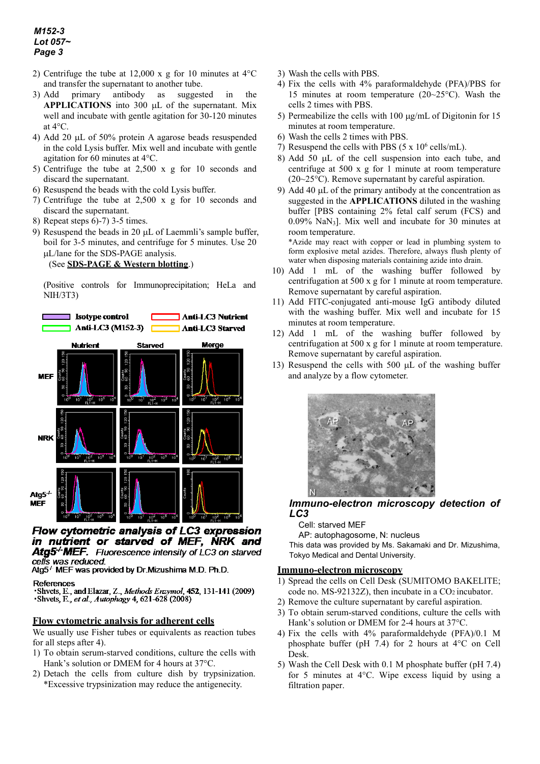# *M152-3 Lot 057~ Page 3*

- 2) Centrifuge the tube at 12,000 x g for 10 minutes at 4°C and transfer the supernatant to another tube.
- 3) Add primary antibody as suggested in the **APPLICATIONS** into 300 µL of the supernatant. Mix well and incubate with gentle agitation for 30-120 minutes at 4°C.
- 4) Add 20 µL of 50% protein A agarose beads resuspended in the cold Lysis buffer. Mix well and incubate with gentle agitation for 60 minutes at 4°C.
- 5) Centrifuge the tube at 2,500 x g for 10 seconds and discard the supernatant.
- 6) Resuspend the beads with the cold Lysis buffer.
- 7) Centrifuge the tube at 2,500 x g for 10 seconds and discard the supernatant.
- 8) Repeat steps 6)-7) 3-5 times.
- 9) Resuspend the beads in 20 µL of Laemmli's sample buffer, boil for 3-5 minutes, and centrifuge for 5 minutes. Use 20 µL/lane for the SDS-PAGE analysis.

#### (See **SDS-PAGE & Western blotting**.)

(Positive controls for Immunoprecipitation; HeLa and NIH/3T3)



Flow cytometric analysis of LC3 expression in nutrient or starved of MEF, NRK and **Atg5<sup>-/-</sup>MEF.** Fluorescence intensity of LC3 on starved cells was reduced.

Atg5<sup>+</sup> MEF was provided by Dr.Mizushima M.D. Ph.D.

#### References

Shvets, E., and Elazar, Z., Methods Enzymol, 452, 131-141 (2009) Shvets, E., et al., Autophagy 4, 621-628 (2008)

# **Flow cytometric analysis for adherent cells**

We usually use Fisher tubes or equivalents as reaction tubes for all steps after 4).

- 1) To obtain serum-starved conditions, culture the cells with Hank's solution or DMEM for 4 hours at 37°C.
- 2) Detach the cells from culture dish by trypsinization. \*Excessive trypsinization may reduce the antigenecity.
- 3) Wash the cells with PBS.
- 4) Fix the cells with 4% paraformaldehyde (PFA)/PBS for 15 minutes at room temperature (20~25°C). Wash the cells 2 times with PBS.
- 5) Permeabilize the cells with 100  $\mu$ g/mL of Digitonin for 15 minutes at room temperature.
- 6) Wash the cells 2 times with PBS.
- 7) Resuspend the cells with PBS  $(5 \times 10^6 \text{ cells/mL})$ .
- 8) Add 50 µL of the cell suspension into each tube, and centrifuge at 500 x g for 1 minute at room temperature (20~25°C). Remove supernatant by careful aspiration.
- 9) Add 40 µL of the primary antibody at the concentration as suggested in the **APPLICATIONS** diluted in the washing buffer [PBS containing 2% fetal calf serum (FCS) and 0.09% NaN3]. Mix well and incubate for 30 minutes at room temperature.

\*Azide may react with copper or lead in plumbing system to form explosive metal azides. Therefore, always flush plenty of water when disposing materials containing azide into drain.

- 10) Add 1 mL of the washing buffer followed by centrifugation at 500 x g for 1 minute at room temperature. Remove supernatant by careful aspiration.
- 11) Add FITC-conjugated anti-mouse IgG antibody diluted with the washing buffer. Mix well and incubate for 15 minutes at room temperature.
- 12) Add 1 mL of the washing buffer followed by centrifugation at 500 x g for 1 minute at room temperature. Remove supernatant by careful aspiration.
- 13) Resuspend the cells with 500 µL of the washing buffer and analyze by a flow cytometer.



### *Immuno-electron microscopy detection of LC3*

#### Cell: starved MEF

AP: autophagosome, N: nucleus

This data was provided by Ms. Sakamaki and Dr. Mizushima, Tokyo Medical and Dental University.

#### **Immuno-electron microscopy**

- 1) Spread the cells on Cell Desk (SUMITOMO BAKELITE; code no. MS-92132Z), then incubate in a CO2 incubator.
- 2) Remove the culture supernatant by careful aspiration.
- 3) To obtain serum-starved conditions, culture the cells with Hank's solution or DMEM for 2-4 hours at 37°C.
- 4) Fix the cells with 4% paraformaldehyde (PFA)/0.1 M phosphate buffer (pH 7.4) for 2 hours at 4°C on Cell Desk.
- 5) Wash the Cell Desk with 0.1 M phosphate buffer (pH 7.4) for 5 minutes at 4°C. Wipe excess liquid by using a filtration paper.